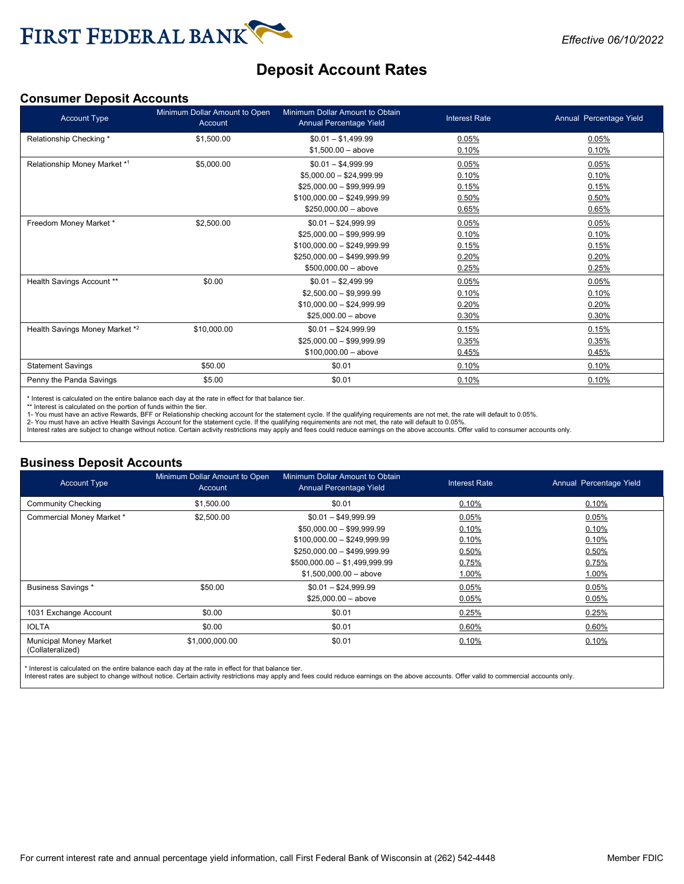

# **Deposit Account Rates**

### **Consumer Deposit Accounts**

| <b>Account Type</b>            | Minimum Dollar Amount to Open<br>Account | Minimum Dollar Amount to Obtain<br>Annual Percentage Yield | <b>Interest Rate</b> | Annual Percentage Yield |
|--------------------------------|------------------------------------------|------------------------------------------------------------|----------------------|-------------------------|
| Relationship Checking *        | \$1,500.00                               | $$0.01 - $1,499.99$                                        | 0.05%                | 0.05%                   |
|                                |                                          | $$1,500.00 - above$                                        | 0.10%                | 0.10%                   |
| Relationship Money Market *1   | \$5,000.00                               | $$0.01 - $4,999.99$                                        | 0.05%                | 0.05%                   |
|                                |                                          | $$5.000.00 - $24.999.99$                                   | 0.10%                | 0.10%                   |
|                                |                                          | $$25,000.00 - $99,999.99$                                  | 0.15%                | 0.15%                   |
|                                |                                          | $$100,000.00 - $249,999.99$                                | 0.50%                | 0.50%                   |
|                                |                                          | $$250,000.00 - above$                                      | 0.65%                | 0.65%                   |
| Freedom Money Market *         | \$2,500.00                               | $$0.01 - $24,999.99$                                       | 0.05%                | 0.05%                   |
|                                |                                          | $$25,000.00 - $99,999.99$                                  | 0.10%                | 0.10%                   |
|                                |                                          | $$100,000.00 - $249,999.99$                                | 0.15%                | 0.15%                   |
|                                |                                          | $$250,000.00 - $499,999.99$                                | 0.20%                | 0.20%                   |
|                                |                                          | $$500,000.00 - above$                                      | 0.25%                | 0.25%                   |
| Health Savings Account **      | \$0.00                                   | $$0.01 - $2,499.99$                                        | 0.05%                | 0.05%                   |
|                                |                                          | $$2,500.00 - $9,999.99$                                    | 0.10%                | 0.10%                   |
|                                |                                          | $$10,000.00 - $24,999.99$                                  | 0.20%                | 0.20%                   |
|                                |                                          | $$25.000.00 - above$                                       | 0.30%                | 0.30%                   |
| Health Savings Money Market *2 | \$10,000.00                              | $$0.01 - $24,999.99$                                       | 0.15%                | 0.15%                   |
|                                |                                          | $$25,000.00 - $99,999.99$                                  | 0.35%                | 0.35%                   |
|                                |                                          | $$100,000.00 - above$                                      | 0.45%                | 0.45%                   |
| <b>Statement Savings</b>       | \$50.00                                  | \$0.01                                                     | 0.10%                | 0.10%                   |
| Penny the Panda Savings        | \$5.00                                   | \$0.01                                                     | 0.10%                | 0.10%                   |

\* Interest is calculated on the entire balance each day at the rate in effect for that balance tier.

\*\* Interest is calculated on the portion of funds within the tier.

1- You must have an active Rewards, BFF or Relationship checking account for the statement cycle. If the qualifying requirements are not met, the rate will default to 0.05%.<br>2- You must have an active Health Savings Accoun

### **Business Deposit Accounts**

| <b>Account Type</b>                               | Minimum Dollar Amount to Open<br>Account | Minimum Dollar Amount to Obtain<br>Annual Percentage Yield | <b>Interest Rate</b> | Annual Percentage Yield |
|---------------------------------------------------|------------------------------------------|------------------------------------------------------------|----------------------|-------------------------|
| <b>Community Checking</b>                         | \$1,500.00                               | \$0.01                                                     | 0.10%                | 0.10%                   |
| Commercial Money Market *                         | \$2,500.00                               | $$0.01 - $49,999.99$                                       | 0.05%                | 0.05%                   |
|                                                   |                                          | $$50,000.00 - $99,999.99$                                  | 0.10%                | 0.10%                   |
|                                                   |                                          | $$100,000.00 - $249,999.99$                                | 0.10%                | 0.10%                   |
|                                                   |                                          | $$250,000.00 - $499,999.99$                                | 0.50%                | 0.50%                   |
|                                                   |                                          | $$500,000.00 - $1,499,999.99$                              | 0.75%                | 0.75%                   |
|                                                   |                                          | $$1,500,000.00 - above$                                    | 1.00%                | 1.00%                   |
| <b>Business Savings *</b>                         | \$50.00                                  | $$0.01 - $24,999.99$                                       | 0.05%                | 0.05%                   |
|                                                   |                                          | $$25,000.00 - above$                                       | 0.05%                | 0.05%                   |
| 1031 Exchange Account                             | \$0.00                                   | \$0.01                                                     | 0.25%                | 0.25%                   |
| <b>IOLTA</b>                                      | \$0.00                                   | \$0.01                                                     | 0.60%                | 0.60%                   |
| <b>Municipal Money Market</b><br>(Collateralized) | \$1,000,000.00                           | \$0.01                                                     | 0.10%                | 0.10%                   |
|                                                   |                                          |                                                            |                      |                         |

\* Interest is calculated on the entire balance each day at the rate in effect for that balance tier.

Interest rates are subject to change without notice. Certain activity restrictions may apply and fees could reduce earnings on the above accounts. Offer valid to commercial accounts only.